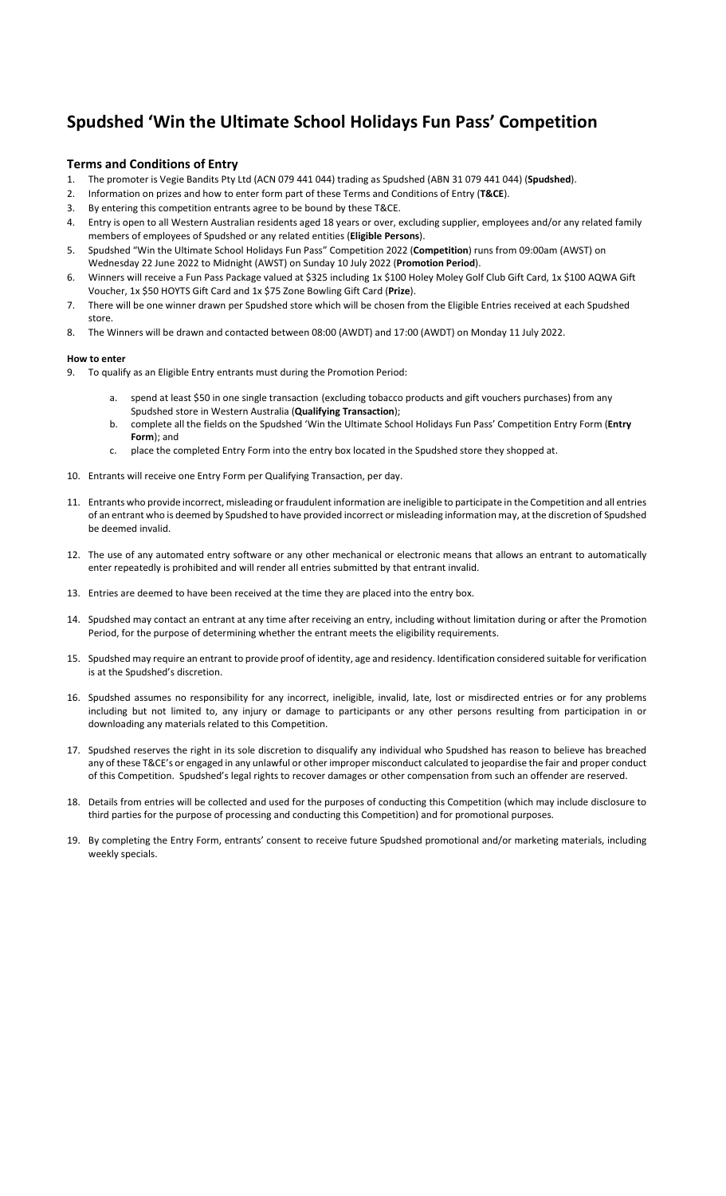## Spudshed 'Win the Ultimate School Holidays Fun Pass' Competition

## Terms and Conditions of Entry

- 1. The promoter is Vegie Bandits Pty Ltd (ACN 079 441 044) trading as Spudshed (ABN 31 079 441 044) (Spudshed).
- 2. Information on prizes and how to enter form part of these Terms and Conditions of Entry (T&CE).
- 3. By entering this competition entrants agree to be bound by these T&CE.
- 4. Entry is open to all Western Australian residents aged 18 years or over, excluding supplier, employees and/or any related family members of employees of Spudshed or any related entities (Eligible Persons).
- 5. Spudshed "Win the Ultimate School Holidays Fun Pass" Competition 2022 (Competition) runs from 09:00am (AWST) on Wednesday 22 June 2022 to Midnight (AWST) on Sunday 10 July 2022 (Promotion Period).
- 6. Winners will receive a Fun Pass Package valued at \$325 including 1x \$100 Holey Moley Golf Club Gift Card, 1x \$100 AQWA Gift Voucher, 1x \$50 HOYTS Gift Card and 1x \$75 Zone Bowling Gift Card (Prize).
- 7. There will be one winner drawn per Spudshed store which will be chosen from the Eligible Entries received at each Spudshed store.
- 8. The Winners will be drawn and contacted between 08:00 (AWDT) and 17:00 (AWDT) on Monday 11 July 2022.

## How to enter

- 9. To qualify as an Eligible Entry entrants must during the Promotion Period:
	- spend at least \$50 in one single transaction (excluding tobacco products and gift vouchers purchases) from any Spudshed store in Western Australia (Qualifying Transaction);
	- b. complete all the fields on the Spudshed 'Win the Ultimate School Holidays Fun Pass' Competition Entry Form (Entry Form); and
	- c. place the completed Entry Form into the entry box located in the Spudshed store they shopped at.
- 10. Entrants will receive one Entry Form per Qualifying Transaction, per day.
- 11. Entrants who provide incorrect, misleading or fraudulent information are ineligible to participate in the Competition and all entries of an entrant who is deemed by Spudshed to have provided incorrect or misleading information may, at the discretion of Spudshed be deemed invalid.
- 12. The use of any automated entry software or any other mechanical or electronic means that allows an entrant to automatically enter repeatedly is prohibited and will render all entries submitted by that entrant invalid.
- 13. Entries are deemed to have been received at the time they are placed into the entry box.
- 14. Spudshed may contact an entrant at any time after receiving an entry, including without limitation during or after the Promotion Period, for the purpose of determining whether the entrant meets the eligibility requirements.
- 15. Spudshed may require an entrant to provide proof of identity, age and residency. Identification considered suitable for verification is at the Spudshed's discretion.
- 16. Spudshed assumes no responsibility for any incorrect, ineligible, invalid, late, lost or misdirected entries or for any problems including but not limited to, any injury or damage to participants or any other persons resulting from participation in or downloading any materials related to this Competition.
- 17. Spudshed reserves the right in its sole discretion to disqualify any individual who Spudshed has reason to believe has breached any of these T&CE's or engaged in any unlawful or other improper misconduct calculated to jeopardise the fair and proper conduct of this Competition. Spudshed's legal rights to recover damages or other compensation from such an offender are reserved.
- 18. Details from entries will be collected and used for the purposes of conducting this Competition (which may include disclosure to third parties for the purpose of processing and conducting this Competition) and for promotional purposes.
- 19. By completing the Entry Form, entrants' consent to receive future Spudshed promotional and/or marketing materials, including weekly specials.